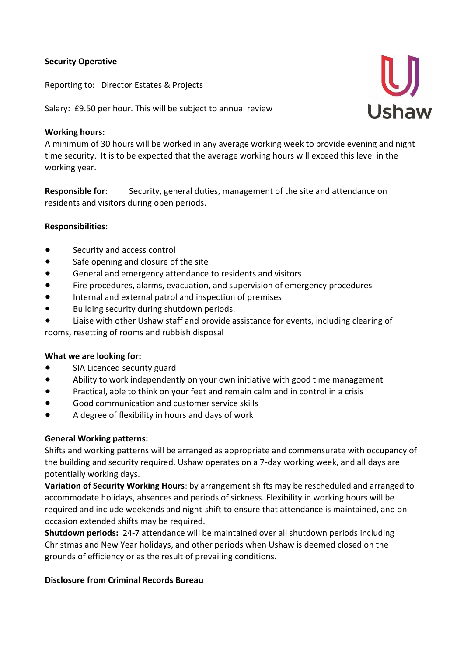## **Security Operative**

Reporting to: Director Estates & Projects

Salary: £9.50 per hour. This will be subject to annual review

### **Working hours:**

A minimum of 30 hours will be worked in any average working week to provide evening and night time security. It is to be expected that the average working hours will exceed this level in the working year.

**Responsible for**: Security, general duties, management of the site and attendance on residents and visitors during open periods.

## **Responsibilities:**

- Security and access control
- Safe opening and closure of the site
- General and emergency attendance to residents and visitors
- Fire procedures, alarms, evacuation, and supervision of emergency procedures
- Internal and external patrol and inspection of premises
- Building security during shutdown periods.
- Liaise with other Ushaw staff and provide assistance for events, including clearing of rooms, resetting of rooms and rubbish disposal

#### **What we are looking for:**

- SIA Licenced security guard
- Ability to work independently on your own initiative with good time management
- Practical, able to think on your feet and remain calm and in control in a crisis
- Good communication and customer service skills
- A degree of flexibility in hours and days of work

#### **General Working patterns:**

Shifts and working patterns will be arranged as appropriate and commensurate with occupancy of the building and security required. Ushaw operates on a 7-day working week, and all days are potentially working days.

**Variation of Security Working Hours**: by arrangement shifts may be rescheduled and arranged to accommodate holidays, absences and periods of sickness. Flexibility in working hours will be required and include weekends and night-shift to ensure that attendance is maintained, and on occasion extended shifts may be required.

**Shutdown periods:** 24-7 attendance will be maintained over all shutdown periods including Christmas and New Year holidays, and other periods when Ushaw is deemed closed on the grounds of efficiency or as the result of prevailing conditions.

#### **Disclosure from Criminal Records Bureau**